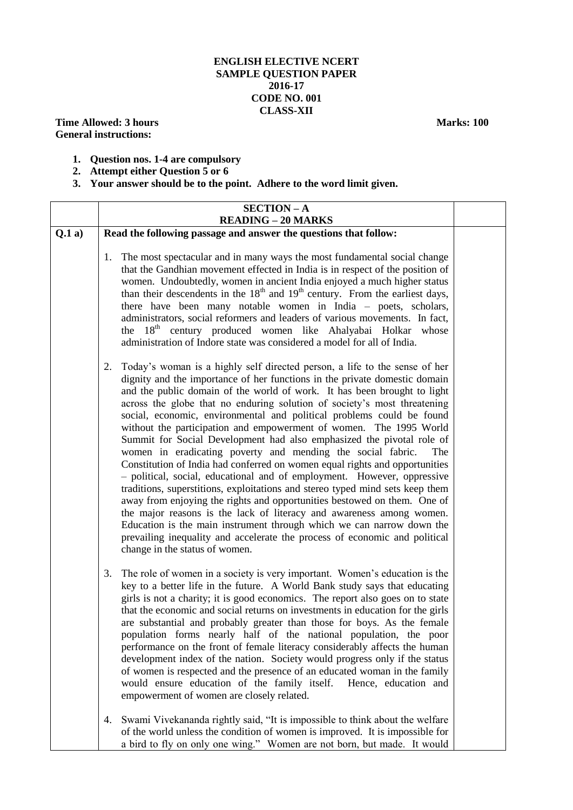## **ENGLISH ELECTIVE NCERT SAMPLE QUESTION PAPER 2016-17 CODE NO. 001 CLASS-XII**

**Time Allowed: 3 hours Marks: 100 General instructions:**

- **1. Question nos. 1-4 are compulsory**
- **2. Attempt either Question 5 or 6**
- **3. Your answer should be to the point. Adhere to the word limit given.**

|       | <b>SECTION-A</b>                                                                                                                                                                                                                                                                                                                                                                                                                                                                                                                                                                                                                                                                                                                                                                                                                                                                                                                                                                                                                                                                                                                                                                                             |  |  |  |
|-------|--------------------------------------------------------------------------------------------------------------------------------------------------------------------------------------------------------------------------------------------------------------------------------------------------------------------------------------------------------------------------------------------------------------------------------------------------------------------------------------------------------------------------------------------------------------------------------------------------------------------------------------------------------------------------------------------------------------------------------------------------------------------------------------------------------------------------------------------------------------------------------------------------------------------------------------------------------------------------------------------------------------------------------------------------------------------------------------------------------------------------------------------------------------------------------------------------------------|--|--|--|
| Q.1a) | <b>READING - 20 MARKS</b><br>Read the following passage and answer the questions that follow:                                                                                                                                                                                                                                                                                                                                                                                                                                                                                                                                                                                                                                                                                                                                                                                                                                                                                                                                                                                                                                                                                                                |  |  |  |
|       |                                                                                                                                                                                                                                                                                                                                                                                                                                                                                                                                                                                                                                                                                                                                                                                                                                                                                                                                                                                                                                                                                                                                                                                                              |  |  |  |
|       | The most spectacular and in many ways the most fundamental social change<br>1.<br>that the Gandhian movement effected in India is in respect of the position of<br>women. Undoubtedly, women in ancient India enjoyed a much higher status<br>than their descendents in the 18 <sup>th</sup> and 19 <sup>th</sup> century. From the earliest days,<br>there have been many notable women in India - poets, scholars,<br>administrators, social reformers and leaders of various movements. In fact,<br>the 18 <sup>th</sup> century produced women like Ahalyabai Holkar whose<br>administration of Indore state was considered a model for all of India.                                                                                                                                                                                                                                                                                                                                                                                                                                                                                                                                                    |  |  |  |
|       | Today's woman is a highly self directed person, a life to the sense of her<br>2.<br>dignity and the importance of her functions in the private domestic domain<br>and the public domain of the world of work. It has been brought to light<br>across the globe that no enduring solution of society's most threatening<br>social, economic, environmental and political problems could be found<br>without the participation and empowerment of women. The 1995 World<br>Summit for Social Development had also emphasized the pivotal role of<br>women in eradicating poverty and mending the social fabric.<br>The<br>Constitution of India had conferred on women equal rights and opportunities<br>- political, social, educational and of employment. However, oppressive<br>traditions, superstitions, exploitations and stereo typed mind sets keep them<br>away from enjoying the rights and opportunities bestowed on them. One of<br>the major reasons is the lack of literacy and awareness among women.<br>Education is the main instrument through which we can narrow down the<br>prevailing inequality and accelerate the process of economic and political<br>change in the status of women. |  |  |  |
|       | The role of women in a society is very important. Women's education is the<br>3.<br>key to a better life in the future. A World Bank study says that educating<br>girls is not a charity; it is good economics. The report also goes on to state<br>that the economic and social returns on investments in education for the girls<br>are substantial and probably greater than those for boys. As the female<br>population forms nearly half of the national population, the poor<br>performance on the front of female literacy considerably affects the human<br>development index of the nation. Society would progress only if the status<br>of women is respected and the presence of an educated woman in the family<br>would ensure education of the family itself.<br>Hence, education and<br>empowerment of women are closely related.                                                                                                                                                                                                                                                                                                                                                             |  |  |  |
|       | Swami Vivekananda rightly said, "It is impossible to think about the welfare<br>4.<br>of the world unless the condition of women is improved. It is impossible for<br>a bird to fly on only one wing." Women are not born, but made. It would                                                                                                                                                                                                                                                                                                                                                                                                                                                                                                                                                                                                                                                                                                                                                                                                                                                                                                                                                                |  |  |  |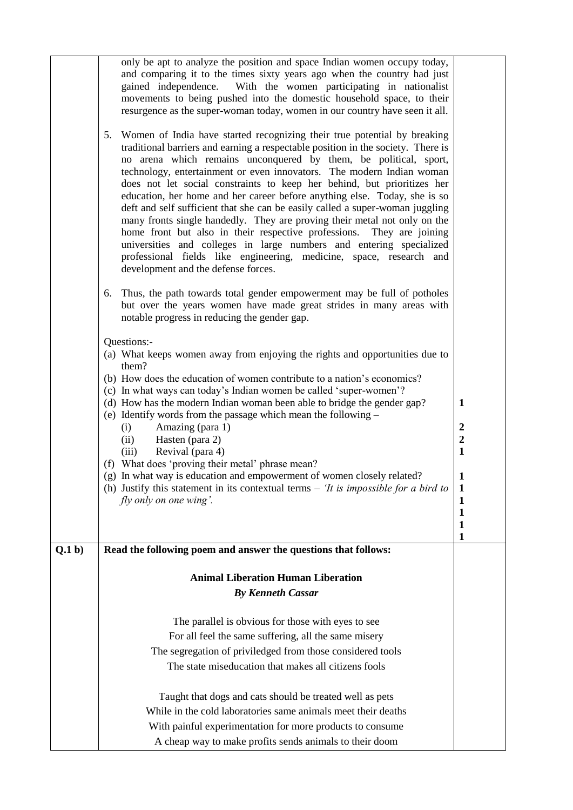|        | only be apt to analyze the position and space Indian women occupy today,<br>and comparing it to the times sixty years ago when the country had just<br>gained independence. With the women participating in nationalist<br>movements to being pushed into the domestic household space, to their<br>resurgence as the super-woman today, women in our country have seen it all.<br>Women of India have started recognizing their true potential by breaking<br>5.                                                                                                                                                                                                                                                                                                                                                    |                                  |
|--------|----------------------------------------------------------------------------------------------------------------------------------------------------------------------------------------------------------------------------------------------------------------------------------------------------------------------------------------------------------------------------------------------------------------------------------------------------------------------------------------------------------------------------------------------------------------------------------------------------------------------------------------------------------------------------------------------------------------------------------------------------------------------------------------------------------------------|----------------------------------|
|        | traditional barriers and earning a respectable position in the society. There is<br>no arena which remains unconquered by them, be political, sport,<br>technology, entertainment or even innovators. The modern Indian woman<br>does not let social constraints to keep her behind, but prioritizes her<br>education, her home and her career before anything else. Today, she is so<br>deft and self sufficient that she can be easily called a super-woman juggling<br>many fronts single handedly. They are proving their metal not only on the<br>home front but also in their respective professions.<br>They are joining<br>universities and colleges in large numbers and entering specialized<br>professional fields like engineering, medicine, space, research and<br>development and the defense forces. |                                  |
|        | Thus, the path towards total gender empowerment may be full of potholes<br>6.<br>but over the years women have made great strides in many areas with<br>notable progress in reducing the gender gap.                                                                                                                                                                                                                                                                                                                                                                                                                                                                                                                                                                                                                 |                                  |
|        | Questions:-<br>(a) What keeps women away from enjoying the rights and opportunities due to                                                                                                                                                                                                                                                                                                                                                                                                                                                                                                                                                                                                                                                                                                                           |                                  |
|        | them?                                                                                                                                                                                                                                                                                                                                                                                                                                                                                                                                                                                                                                                                                                                                                                                                                |                                  |
|        | (b) How does the education of women contribute to a nation's economics?<br>(c) In what ways can today's Indian women be called 'super-women'?                                                                                                                                                                                                                                                                                                                                                                                                                                                                                                                                                                                                                                                                        |                                  |
|        | (d) How has the modern Indian woman been able to bridge the gender gap?<br>(e) Identify words from the passage which mean the following $-$                                                                                                                                                                                                                                                                                                                                                                                                                                                                                                                                                                                                                                                                          | 1                                |
|        | Amazing (para 1)<br>(i)                                                                                                                                                                                                                                                                                                                                                                                                                                                                                                                                                                                                                                                                                                                                                                                              | $\boldsymbol{2}$                 |
|        | Hasten (para 2)<br>(ii)<br>Revival (para 4)<br>(iii)                                                                                                                                                                                                                                                                                                                                                                                                                                                                                                                                                                                                                                                                                                                                                                 | $\boldsymbol{2}$<br>$\mathbf{1}$ |
|        | (f) What does 'proving their metal' phrase mean?                                                                                                                                                                                                                                                                                                                                                                                                                                                                                                                                                                                                                                                                                                                                                                     |                                  |
|        | (g) In what way is education and empowerment of women closely related?<br>(h) Justify this statement in its contextual terms $-$ 'It is impossible for a bird to                                                                                                                                                                                                                                                                                                                                                                                                                                                                                                                                                                                                                                                     | $\mathbf{1}$<br>$\mathbf 1$      |
|        | fly only on one wing'.                                                                                                                                                                                                                                                                                                                                                                                                                                                                                                                                                                                                                                                                                                                                                                                               | 1                                |
|        |                                                                                                                                                                                                                                                                                                                                                                                                                                                                                                                                                                                                                                                                                                                                                                                                                      | $\mathbf{1}$<br>1                |
|        |                                                                                                                                                                                                                                                                                                                                                                                                                                                                                                                                                                                                                                                                                                                                                                                                                      | 1                                |
| Q.1 b) | Read the following poem and answer the questions that follows:                                                                                                                                                                                                                                                                                                                                                                                                                                                                                                                                                                                                                                                                                                                                                       |                                  |
|        | <b>Animal Liberation Human Liberation</b>                                                                                                                                                                                                                                                                                                                                                                                                                                                                                                                                                                                                                                                                                                                                                                            |                                  |
|        | <b>By Kenneth Cassar</b>                                                                                                                                                                                                                                                                                                                                                                                                                                                                                                                                                                                                                                                                                                                                                                                             |                                  |
|        |                                                                                                                                                                                                                                                                                                                                                                                                                                                                                                                                                                                                                                                                                                                                                                                                                      |                                  |
|        | The parallel is obvious for those with eyes to see                                                                                                                                                                                                                                                                                                                                                                                                                                                                                                                                                                                                                                                                                                                                                                   |                                  |
|        | For all feel the same suffering, all the same misery                                                                                                                                                                                                                                                                                                                                                                                                                                                                                                                                                                                                                                                                                                                                                                 |                                  |
|        | The segregation of priviledged from those considered tools                                                                                                                                                                                                                                                                                                                                                                                                                                                                                                                                                                                                                                                                                                                                                           |                                  |
|        | The state miseducation that makes all citizens fools                                                                                                                                                                                                                                                                                                                                                                                                                                                                                                                                                                                                                                                                                                                                                                 |                                  |
|        | Taught that dogs and cats should be treated well as pets                                                                                                                                                                                                                                                                                                                                                                                                                                                                                                                                                                                                                                                                                                                                                             |                                  |
|        | While in the cold laboratories same animals meet their deaths                                                                                                                                                                                                                                                                                                                                                                                                                                                                                                                                                                                                                                                                                                                                                        |                                  |
|        | With painful experimentation for more products to consume                                                                                                                                                                                                                                                                                                                                                                                                                                                                                                                                                                                                                                                                                                                                                            |                                  |
|        | A cheap way to make profits sends animals to their doom                                                                                                                                                                                                                                                                                                                                                                                                                                                                                                                                                                                                                                                                                                                                                              |                                  |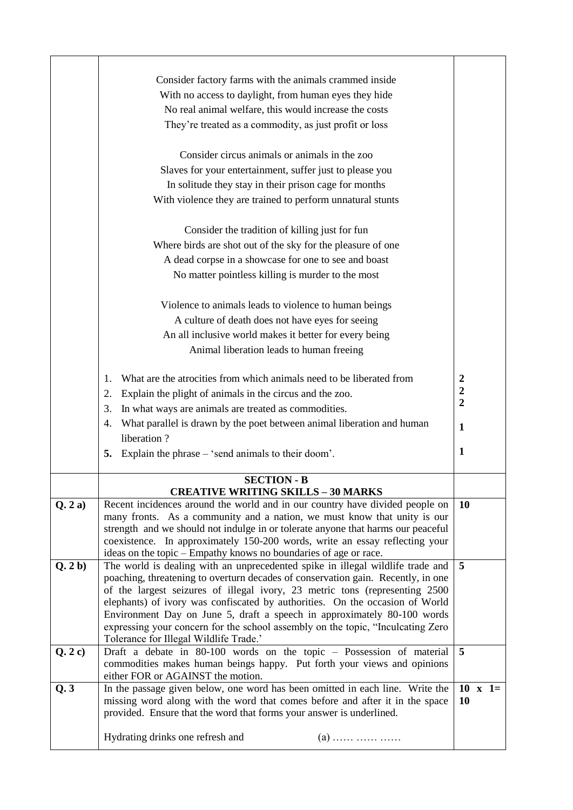|        | Consider factory farms with the animals crammed inside<br>With no access to daylight, from human eyes they hide<br>No real animal welfare, this would increase the costs<br>They're treated as a commodity, as just profit or loss<br>Consider circus animals or animals in the zoo<br>Slaves for your entertainment, suffer just to please you<br>In solitude they stay in their prison cage for months<br>With violence they are trained to perform unnatural stunts<br>Consider the tradition of killing just for fun<br>Where birds are shot out of the sky for the pleasure of one<br>A dead corpse in a showcase for one to see and boast<br>No matter pointless killing is murder to the most |                             |  |
|--------|------------------------------------------------------------------------------------------------------------------------------------------------------------------------------------------------------------------------------------------------------------------------------------------------------------------------------------------------------------------------------------------------------------------------------------------------------------------------------------------------------------------------------------------------------------------------------------------------------------------------------------------------------------------------------------------------------|-----------------------------|--|
|        | Violence to animals leads to violence to human beings                                                                                                                                                                                                                                                                                                                                                                                                                                                                                                                                                                                                                                                |                             |  |
|        | A culture of death does not have eyes for seeing<br>An all inclusive world makes it better for every being                                                                                                                                                                                                                                                                                                                                                                                                                                                                                                                                                                                           |                             |  |
|        | Animal liberation leads to human freeing                                                                                                                                                                                                                                                                                                                                                                                                                                                                                                                                                                                                                                                             |                             |  |
|        |                                                                                                                                                                                                                                                                                                                                                                                                                                                                                                                                                                                                                                                                                                      |                             |  |
|        | What are the atrocities from which animals need to be liberated from<br>1.                                                                                                                                                                                                                                                                                                                                                                                                                                                                                                                                                                                                                           | $\boldsymbol{2}$            |  |
|        | Explain the plight of animals in the circus and the zoo.<br>2.                                                                                                                                                                                                                                                                                                                                                                                                                                                                                                                                                                                                                                       | $\boldsymbol{2}$            |  |
|        | In what ways are animals are treated as commodities.<br>3.                                                                                                                                                                                                                                                                                                                                                                                                                                                                                                                                                                                                                                           | $\overline{2}$              |  |
|        | What parallel is drawn by the poet between animal liberation and human<br>4.                                                                                                                                                                                                                                                                                                                                                                                                                                                                                                                                                                                                                         |                             |  |
|        | liberation?                                                                                                                                                                                                                                                                                                                                                                                                                                                                                                                                                                                                                                                                                          | $\mathbf{1}$                |  |
|        | Explain the phrase – 'send animals to their doom'.<br>5.                                                                                                                                                                                                                                                                                                                                                                                                                                                                                                                                                                                                                                             | 1                           |  |
|        | <b>SECTION - B</b>                                                                                                                                                                                                                                                                                                                                                                                                                                                                                                                                                                                                                                                                                   |                             |  |
|        | <b>CREATIVE WRITING SKILLS - 30 MARKS</b>                                                                                                                                                                                                                                                                                                                                                                                                                                                                                                                                                                                                                                                            |                             |  |
| Q.2a)  | Recent incidences around the world and in our country have divided people on<br>many fronts. As a community and a nation, we must know that unity is our<br>strength and we should not indulge in or tolerate anyone that harms our peaceful<br>coexistence. In approximately 150-200 words, write an essay reflecting your<br>ideas on the topic – Empathy knows no boundaries of age or race.                                                                                                                                                                                                                                                                                                      | <b>10</b>                   |  |
| Q.2 b) | The world is dealing with an unprecedented spike in illegal wildlife trade and<br>poaching, threatening to overturn decades of conservation gain. Recently, in one<br>of the largest seizures of illegal ivory, 23 metric tons (representing 2500<br>elephants) of ivory was confiscated by authorities. On the occasion of World<br>Environment Day on June 5, draft a speech in approximately 80-100 words<br>expressing your concern for the school assembly on the topic, "Inculcating Zero<br>Tolerance for Illegal Wildlife Trade.'                                                                                                                                                            | 5                           |  |
| Q.2c)  | Draft a debate in 80-100 words on the topic - Possession of material<br>commodities makes human beings happy. Put forth your views and opinions<br>either FOR or AGAINST the motion.                                                                                                                                                                                                                                                                                                                                                                                                                                                                                                                 | $\overline{5}$              |  |
| Q.3    | In the passage given below, one word has been omitted in each line. Write the<br>missing word along with the word that comes before and after it in the space<br>provided. Ensure that the word that forms your answer is underlined.                                                                                                                                                                                                                                                                                                                                                                                                                                                                | $10 \times 1=$<br><b>10</b> |  |
|        | Hydrating drinks one refresh and<br>$(a)$                                                                                                                                                                                                                                                                                                                                                                                                                                                                                                                                                                                                                                                            |                             |  |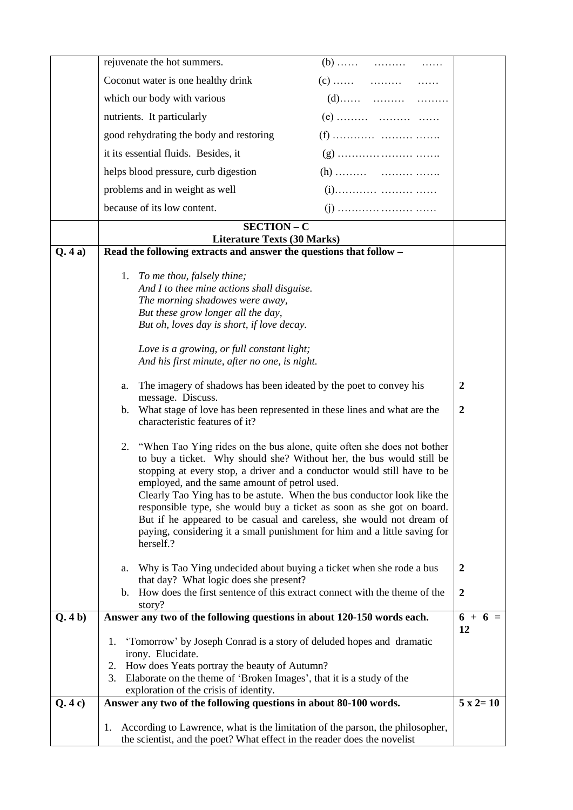|        | rejuvenate the hot summers.                                                                                                                                                                                                                                                                                                                                                                                                                                                                                                                                                                                                                                                                                                                                                                                                                                                                                                                                                                                                                                                                                                    |                                      |
|--------|--------------------------------------------------------------------------------------------------------------------------------------------------------------------------------------------------------------------------------------------------------------------------------------------------------------------------------------------------------------------------------------------------------------------------------------------------------------------------------------------------------------------------------------------------------------------------------------------------------------------------------------------------------------------------------------------------------------------------------------------------------------------------------------------------------------------------------------------------------------------------------------------------------------------------------------------------------------------------------------------------------------------------------------------------------------------------------------------------------------------------------|--------------------------------------|
|        | Coconut water is one healthy drink                                                                                                                                                                                                                                                                                                                                                                                                                                                                                                                                                                                                                                                                                                                                                                                                                                                                                                                                                                                                                                                                                             |                                      |
|        | which our body with various                                                                                                                                                                                                                                                                                                                                                                                                                                                                                                                                                                                                                                                                                                                                                                                                                                                                                                                                                                                                                                                                                                    |                                      |
|        | nutrients. It particularly                                                                                                                                                                                                                                                                                                                                                                                                                                                                                                                                                                                                                                                                                                                                                                                                                                                                                                                                                                                                                                                                                                     |                                      |
|        | good rehydrating the body and restoring                                                                                                                                                                                                                                                                                                                                                                                                                                                                                                                                                                                                                                                                                                                                                                                                                                                                                                                                                                                                                                                                                        |                                      |
|        | it its essential fluids. Besides, it                                                                                                                                                                                                                                                                                                                                                                                                                                                                                                                                                                                                                                                                                                                                                                                                                                                                                                                                                                                                                                                                                           |                                      |
|        | helps blood pressure, curb digestion                                                                                                                                                                                                                                                                                                                                                                                                                                                                                                                                                                                                                                                                                                                                                                                                                                                                                                                                                                                                                                                                                           |                                      |
|        | problems and in weight as well                                                                                                                                                                                                                                                                                                                                                                                                                                                                                                                                                                                                                                                                                                                                                                                                                                                                                                                                                                                                                                                                                                 |                                      |
|        | because of its low content.                                                                                                                                                                                                                                                                                                                                                                                                                                                                                                                                                                                                                                                                                                                                                                                                                                                                                                                                                                                                                                                                                                    |                                      |
|        | SECTION - C                                                                                                                                                                                                                                                                                                                                                                                                                                                                                                                                                                                                                                                                                                                                                                                                                                                                                                                                                                                                                                                                                                                    |                                      |
| Q.4a)  | <b>Literature Texts (30 Marks)</b><br>Read the following extracts and answer the questions that follow -                                                                                                                                                                                                                                                                                                                                                                                                                                                                                                                                                                                                                                                                                                                                                                                                                                                                                                                                                                                                                       |                                      |
|        | To me thou, falsely thine;<br>1.<br>And I to thee mine actions shall disguise.<br>The morning shadowes were away,<br>But these grow longer all the day,<br>But oh, loves day is short, if love decay.<br>Love is a growing, or full constant light;<br>And his first minute, after no one, is night.<br>The imagery of shadows has been ideated by the poet to convey his<br>a.<br>message. Discuss.<br>What stage of love has been represented in these lines and what are the<br>b.<br>characteristic features of it?<br>2. "When Tao Ying rides on the bus alone, quite often she does not bother<br>to buy a ticket. Why should she? Without her, the bus would still be<br>stopping at every stop, a driver and a conductor would still have to be<br>employed, and the same amount of petrol used.<br>Clearly Tao Ying has to be astute. When the bus conductor look like the<br>responsible type, she would buy a ticket as soon as she got on board.<br>But if he appeared to be casual and careless, she would not dream of<br>paying, considering it a small punishment for him and a little saving for<br>herself.? | $\boldsymbol{2}$<br>$\boldsymbol{2}$ |
|        | Why is Tao Ying undecided about buying a ticket when she rode a bus<br>a.<br>that day? What logic does she present?<br>How does the first sentence of this extract connect with the theme of the                                                                                                                                                                                                                                                                                                                                                                                                                                                                                                                                                                                                                                                                                                                                                                                                                                                                                                                               | $\boldsymbol{2}$                     |
|        | b.<br>story?                                                                                                                                                                                                                                                                                                                                                                                                                                                                                                                                                                                                                                                                                                                                                                                                                                                                                                                                                                                                                                                                                                                   | $\boldsymbol{2}$                     |
| Q.4 b) | Answer any two of the following questions in about 120-150 words each.                                                                                                                                                                                                                                                                                                                                                                                                                                                                                                                                                                                                                                                                                                                                                                                                                                                                                                                                                                                                                                                         | $6 + 6 =$<br>12                      |
|        | 'Tomorrow' by Joseph Conrad is a story of deluded hopes and dramatic<br>1.<br>irony. Elucidate.<br>How does Yeats portray the beauty of Autumn?<br>2.<br>Elaborate on the theme of 'Broken Images', that it is a study of the<br>3.<br>exploration of the crisis of identity.                                                                                                                                                                                                                                                                                                                                                                                                                                                                                                                                                                                                                                                                                                                                                                                                                                                  |                                      |
| Q.4c)  | Answer any two of the following questions in about 80-100 words.                                                                                                                                                                                                                                                                                                                                                                                                                                                                                                                                                                                                                                                                                                                                                                                                                                                                                                                                                                                                                                                               | $5 \times 2 = 10$                    |
|        | According to Lawrence, what is the limitation of the parson, the philosopher,<br>1.<br>the scientist, and the poet? What effect in the reader does the novelist                                                                                                                                                                                                                                                                                                                                                                                                                                                                                                                                                                                                                                                                                                                                                                                                                                                                                                                                                                |                                      |